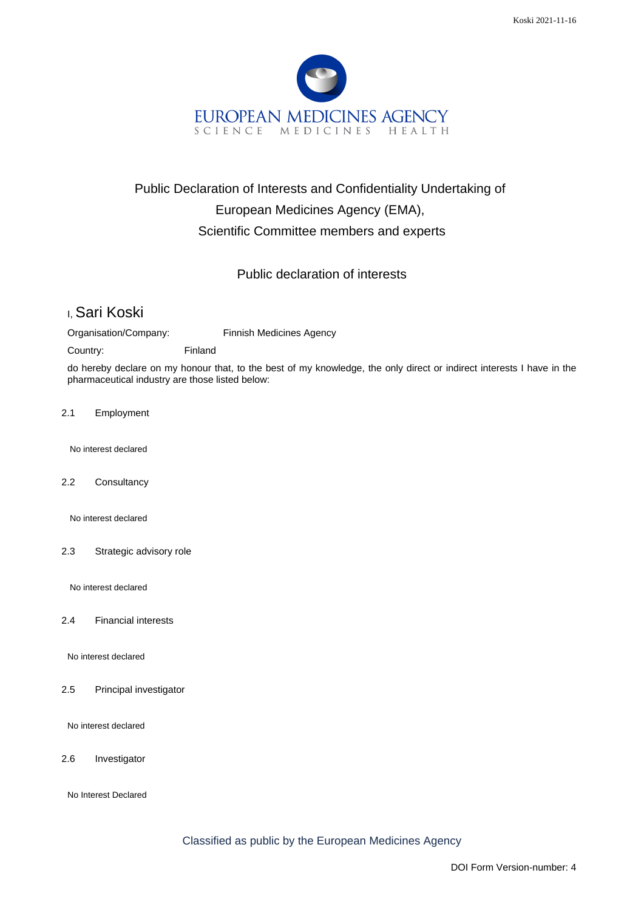

## Public Declaration of Interests and Confidentiality Undertaking of European Medicines Agency (EMA), Scientific Committee members and experts

## Public declaration of interests

## I, Sari Koski

Organisation/Company: Finnish Medicines Agency

Country: Finland

do hereby declare on my honour that, to the best of my knowledge, the only direct or indirect interests I have in the pharmaceutical industry are those listed below:

2.1 Employment

No interest declared

2.2 Consultancy

No interest declared

2.3 Strategic advisory role

No interest declared

2.4 Financial interests

No interest declared

2.5 Principal investigator

No interest declared

2.6 Investigator

No Interest Declared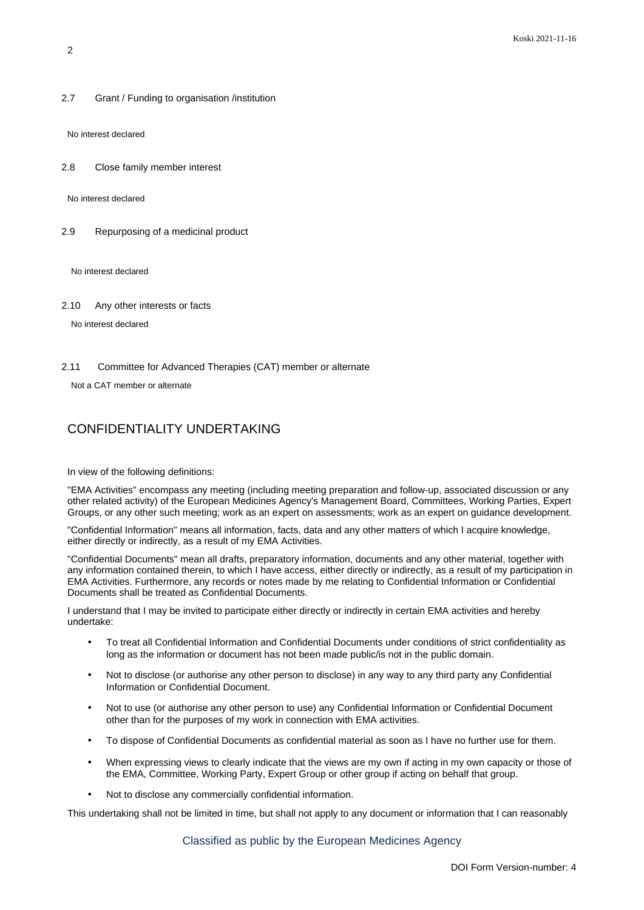2.7 Grant / Funding to organisation /institution

No interest declared

2.8 Close family member interest

No interest declared

2.9 Repurposing of a medicinal product

No interest declared

2.10 Any other interests or facts

No interest declared

2.11 Committee for Advanced Therapies (CAT) member or alternate

Not a CAT member or alternate

## CONFIDENTIALITY UNDERTAKING

In view of the following definitions:

"EMA Activities" encompass any meeting (including meeting preparation and follow-up, associated discussion or any other related activity) of the European Medicines Agency's Management Board, Committees, Working Parties, Expert Groups, or any other such meeting; work as an expert on assessments; work as an expert on guidance development.

"Confidential Information" means all information, facts, data and any other matters of which I acquire knowledge, either directly or indirectly, as a result of my EMA Activities.

"Confidential Documents" mean all drafts, preparatory information, documents and any other material, together with any information contained therein, to which I have access, either directly or indirectly, as a result of my participation in EMA Activities. Furthermore, any records or notes made by me relating to Confidential Information or Confidential Documents shall be treated as Confidential Documents.

I understand that I may be invited to participate either directly or indirectly in certain EMA activities and hereby undertake:

- To treat all Confidential Information and Confidential Documents under conditions of strict confidentiality as long as the information or document has not been made public/is not in the public domain.
- Not to disclose (or authorise any other person to disclose) in any way to any third party any Confidential Information or Confidential Document.
- Not to use (or authorise any other person to use) any Confidential Information or Confidential Document other than for the purposes of my work in connection with EMA activities.
- To dispose of Confidential Documents as confidential material as soon as I have no further use for them.
- When expressing views to clearly indicate that the views are my own if acting in my own capacity or those of the EMA, Committee, Working Party, Expert Group or other group if acting on behalf that group.
- Not to disclose any commercially confidential information.

This undertaking shall not be limited in time, but shall not apply to any document or information that I can reasonably

Classified as public by the European Medicines Agency